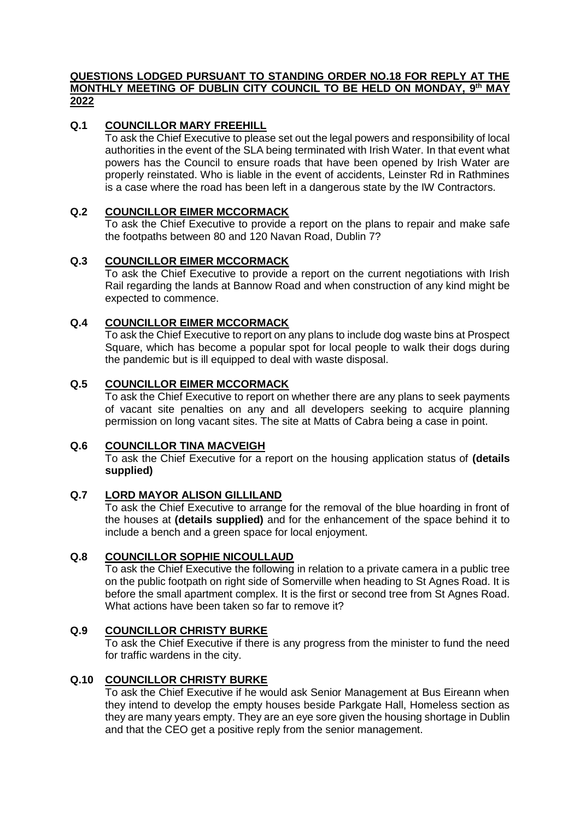### **QUESTIONS LODGED PURSUANT TO STANDING ORDER NO.18 FOR REPLY AT THE MONTHLY MEETING OF DUBLIN CITY COUNCIL TO BE HELD ON MONDAY, 9 th MAY 2022**

# **Q.1 COUNCILLOR MARY FREEHILL**

To ask the Chief Executive to please set out the legal powers and responsibility of local authorities in the event of the SLA being terminated with Irish Water. In that event what powers has the Council to ensure roads that have been opened by Irish Water are properly reinstated. Who is liable in the event of accidents, Leinster Rd in Rathmines is a case where the road has been left in a dangerous state by the IW Contractors.

## **Q.2 COUNCILLOR EIMER MCCORMACK**

To ask the Chief Executive to provide a report on the plans to repair and make safe the footpaths between 80 and 120 Navan Road, Dublin 7?

## **Q.3 COUNCILLOR EIMER MCCORMACK**

To ask the Chief Executive to provide a report on the current negotiations with Irish Rail regarding the lands at Bannow Road and when construction of any kind might be expected to commence.

## **Q.4 COUNCILLOR EIMER MCCORMACK**

To ask the Chief Executive to report on any plans to include dog waste bins at Prospect Square, which has become a popular spot for local people to walk their dogs during the pandemic but is ill equipped to deal with waste disposal.

## **Q.5 COUNCILLOR EIMER MCCORMACK**

To ask the Chief Executive to report on whether there are any plans to seek payments of vacant site penalties on any and all developers seeking to acquire planning permission on long vacant sites. The site at Matts of Cabra being a case in point.

## **Q.6 COUNCILLOR TINA MACVEIGH**

To ask the Chief Executive for a report on the housing application status of **(details supplied)**

## **Q.7 LORD MAYOR ALISON GILLILAND**

To ask the Chief Executive to arrange for the removal of the blue hoarding in front of the houses at **(details supplied)** and for the enhancement of the space behind it to include a bench and a green space for local enjoyment.

#### **Q.8 COUNCILLOR SOPHIE NICOULLAUD**

To ask the Chief Executive the following in relation to a private camera in a public tree on the public footpath on right side of Somerville when heading to St Agnes Road. It is before the small apartment complex. It is the first or second tree from St Agnes Road. What actions have been taken so far to remove it?

## **Q.9 COUNCILLOR CHRISTY BURKE**

To ask the Chief Executive if there is any progress from the minister to fund the need for traffic wardens in the city.

## **Q.10 COUNCILLOR CHRISTY BURKE**

To ask the Chief Executive if he would ask Senior Management at Bus Eireann when they intend to develop the empty houses beside Parkgate Hall, Homeless section as they are many years empty. They are an eye sore given the housing shortage in Dublin and that the CEO get a positive reply from the senior management.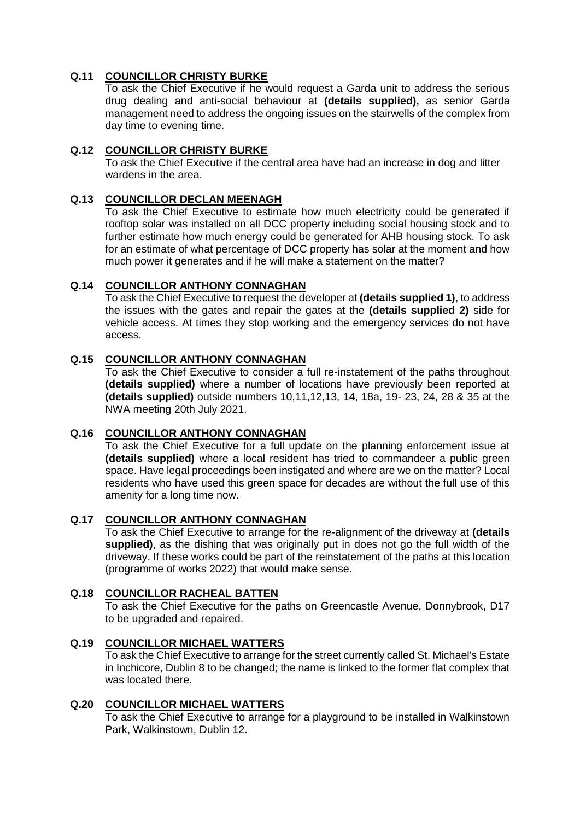# **Q.11 COUNCILLOR CHRISTY BURKE**

To ask the Chief Executive if he would request a Garda unit to address the serious drug dealing and anti-social behaviour at **(details supplied),** as senior Garda management need to address the ongoing issues on the stairwells of the complex from day time to evening time.

## **Q.12 COUNCILLOR CHRISTY BURKE**

To ask the Chief Executive if the central area have had an increase in dog and litter wardens in the area.

## **Q.13 COUNCILLOR DECLAN MEENAGH**

To ask the Chief Executive to estimate how much electricity could be generated if rooftop solar was installed on all DCC property including social housing stock and to further estimate how much energy could be generated for AHB housing stock. To ask for an estimate of what percentage of DCC property has solar at the moment and how much power it generates and if he will make a statement on the matter?

## **Q.14 COUNCILLOR ANTHONY CONNAGHAN**

To ask the Chief Executive to request the developer at **(details supplied 1)**, to address the issues with the gates and repair the gates at the **(details supplied 2)** side for vehicle access. At times they stop working and the emergency services do not have access.

## **Q.15 COUNCILLOR ANTHONY CONNAGHAN**

To ask the Chief Executive to consider a full re-instatement of the paths throughout **(details supplied)** where a number of locations have previously been reported at **(details supplied)** outside numbers 10,11,12,13, 14, 18a, 19- 23, 24, 28 & 35 at the NWA meeting 20th July 2021.

## **Q.16 COUNCILLOR ANTHONY CONNAGHAN**

To ask the Chief Executive for a full update on the planning enforcement issue at **(details supplied)** where a local resident has tried to commandeer a public green space. Have legal proceedings been instigated and where are we on the matter? Local residents who have used this green space for decades are without the full use of this amenity for a long time now.

## **Q.17 COUNCILLOR ANTHONY CONNAGHAN**

To ask the Chief Executive to arrange for the re-alignment of the driveway at **(details supplied)**, as the dishing that was originally put in does not go the full width of the driveway. If these works could be part of the reinstatement of the paths at this location (programme of works 2022) that would make sense.

## **Q.18 COUNCILLOR RACHEAL BATTEN**

To ask the Chief Executive for the paths on Greencastle Avenue, Donnybrook, D17 to be upgraded and repaired.

## **Q.19 COUNCILLOR MICHAEL WATTERS**

To ask the Chief Executive to arrange for the street currently called St. Michael's Estate in Inchicore, Dublin 8 to be changed; the name is linked to the former flat complex that was located there.

## **Q.20 COUNCILLOR MICHAEL WATTERS**

To ask the Chief Executive to arrange for a playground to be installed in Walkinstown Park, Walkinstown, Dublin 12.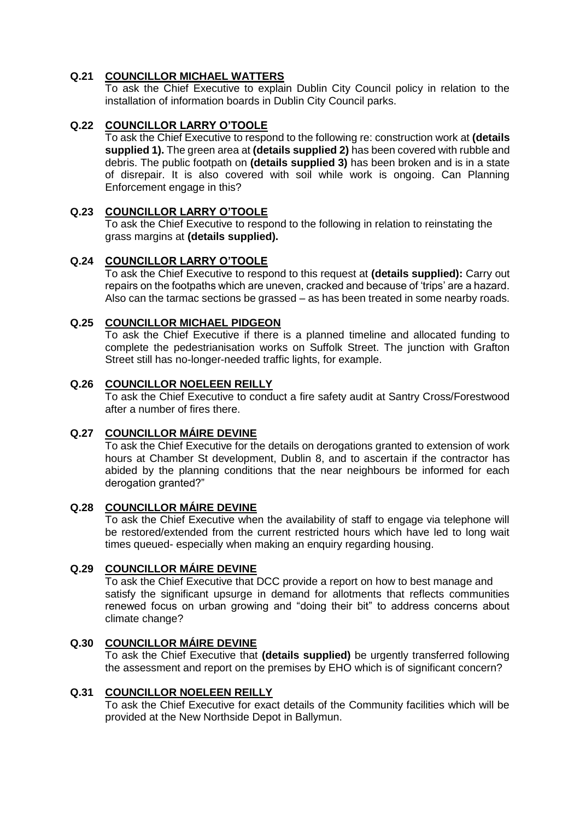# **Q.21 COUNCILLOR MICHAEL WATTERS**

To ask the Chief Executive to explain Dublin City Council policy in relation to the installation of information boards in Dublin City Council parks.

# **Q.22 COUNCILLOR LARRY O'TOOLE**

To ask the Chief Executive to respond to the following re: construction work at **(details supplied 1).** The green area at **(details supplied 2)** has been covered with rubble and debris. The public footpath on **(details supplied 3)** has been broken and is in a state of disrepair. It is also covered with soil while work is ongoing. Can Planning Enforcement engage in this?

## **Q.23 COUNCILLOR LARRY O'TOOLE**

To ask the Chief Executive to respond to the following in relation to reinstating the grass margins at **(details supplied).**

## **Q.24 COUNCILLOR LARRY O'TOOLE**

To ask the Chief Executive to respond to this request at **(details supplied):** Carry out repairs on the footpaths which are uneven, cracked and because of 'trips' are a hazard. Also can the tarmac sections be grassed – as has been treated in some nearby roads.

## **Q.25 COUNCILLOR MICHAEL PIDGEON**

To ask the Chief Executive if there is a planned timeline and allocated funding to complete the pedestrianisation works on Suffolk Street. The junction with Grafton Street still has no-longer-needed traffic lights, for example.

## **Q.26 COUNCILLOR NOELEEN REILLY**

To ask the Chief Executive to conduct a fire safety audit at Santry Cross/Forestwood after a number of fires there.

## **Q.27 COUNCILLOR MÁIRE DEVINE**

To ask the Chief Executive for the details on derogations granted to extension of work hours at Chamber St development, Dublin 8, and to ascertain if the contractor has abided by the planning conditions that the near neighbours be informed for each derogation granted?"

## **Q.28 COUNCILLOR MÁIRE DEVINE**

To ask the Chief Executive when the availability of staff to engage via telephone will be restored/extended from the current restricted hours which have led to long wait times queued- especially when making an enquiry regarding housing.

## **Q.29 COUNCILLOR MÁIRE DEVINE**

To ask the Chief Executive that DCC provide a report on how to best manage and satisfy the significant upsurge in demand for allotments that reflects communities renewed focus on urban growing and "doing their bit" to address concerns about climate change?

## **Q.30 COUNCILLOR MÁIRE DEVINE**

To ask the Chief Executive that **(details supplied)** be urgently transferred following the assessment and report on the premises by EHO which is of significant concern?

#### **Q.31 COUNCILLOR NOELEEN REILLY**

To ask the Chief Executive for exact details of the Community facilities which will be provided at the New Northside Depot in Ballymun.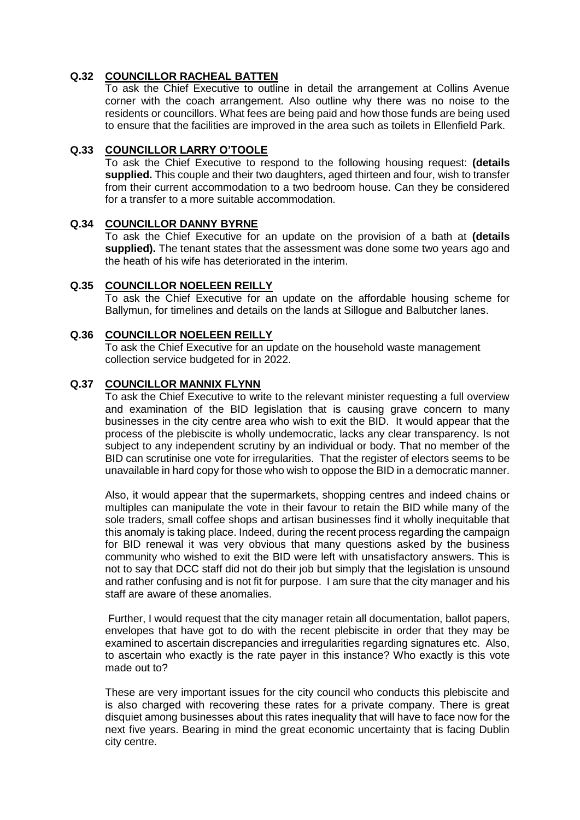# **Q.32 COUNCILLOR RACHEAL BATTEN**

To ask the Chief Executive to outline in detail the arrangement at Collins Avenue corner with the coach arrangement. Also outline why there was no noise to the residents or councillors. What fees are being paid and how those funds are being used to ensure that the facilities are improved in the area such as toilets in Ellenfield Park.

### **Q.33 COUNCILLOR LARRY O'TOOLE**

To ask the Chief Executive to respond to the following housing request: **(details supplied.** This couple and their two daughters, aged thirteen and four, wish to transfer from their current accommodation to a two bedroom house. Can they be considered for a transfer to a more suitable accommodation.

### **Q.34 COUNCILLOR DANNY BYRNE**

To ask the Chief Executive for an update on the provision of a bath at **(details supplied).** The tenant states that the assessment was done some two years ago and the heath of his wife has deteriorated in the interim.

### **Q.35 COUNCILLOR NOELEEN REILLY**

To ask the Chief Executive for an update on the affordable housing scheme for Ballymun, for timelines and details on the lands at Sillogue and Balbutcher lanes.

## **Q.36 COUNCILLOR NOELEEN REILLY**

To ask the Chief Executive for an update on the household waste management collection service budgeted for in 2022.

### **Q.37 COUNCILLOR MANNIX FLYNN**

To ask the Chief Executive to write to the relevant minister requesting a full overview and examination of the BID legislation that is causing grave concern to many businesses in the city centre area who wish to exit the BID. It would appear that the process of the plebiscite is wholly undemocratic, lacks any clear transparency. Is not subject to any independent scrutiny by an individual or body. That no member of the BID can scrutinise one vote for irregularities. That the register of electors seems to be unavailable in hard copy for those who wish to oppose the BID in a democratic manner.

Also, it would appear that the supermarkets, shopping centres and indeed chains or multiples can manipulate the vote in their favour to retain the BID while many of the sole traders, small coffee shops and artisan businesses find it wholly inequitable that this anomaly is taking place. Indeed, during the recent process regarding the campaign for BID renewal it was very obvious that many questions asked by the business community who wished to exit the BID were left with unsatisfactory answers. This is not to say that DCC staff did not do their job but simply that the legislation is unsound and rather confusing and is not fit for purpose. I am sure that the city manager and his staff are aware of these anomalies.

Further, I would request that the city manager retain all documentation, ballot papers, envelopes that have got to do with the recent plebiscite in order that they may be examined to ascertain discrepancies and irregularities regarding signatures etc. Also, to ascertain who exactly is the rate payer in this instance? Who exactly is this vote made out to?

These are very important issues for the city council who conducts this plebiscite and is also charged with recovering these rates for a private company. There is great disquiet among businesses about this rates inequality that will have to face now for the next five years. Bearing in mind the great economic uncertainty that is facing Dublin city centre.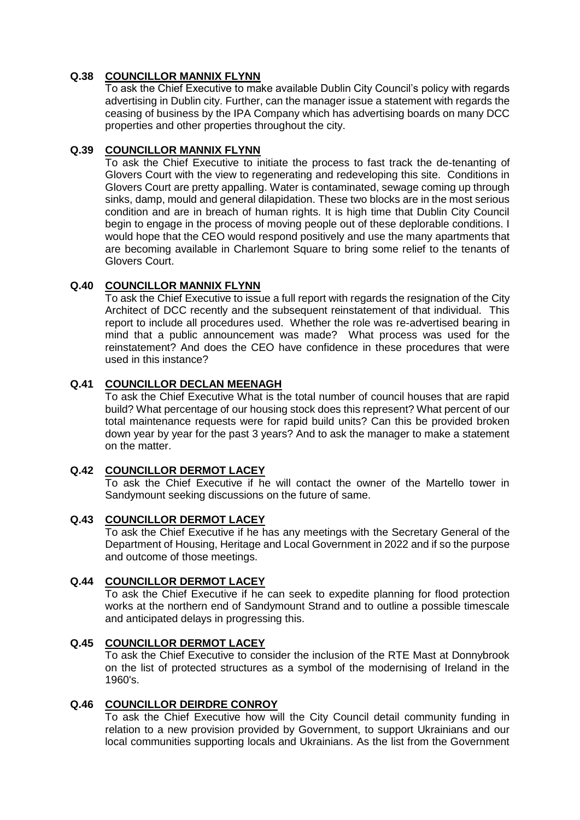# **Q.38 COUNCILLOR MANNIX FLYNN**

To ask the Chief Executive to make available Dublin City Council's policy with regards advertising in Dublin city. Further, can the manager issue a statement with regards the ceasing of business by the IPA Company which has advertising boards on many DCC properties and other properties throughout the city.

## **Q.39 COUNCILLOR MANNIX FLYNN**

To ask the Chief Executive to initiate the process to fast track the de-tenanting of Glovers Court with the view to regenerating and redeveloping this site. Conditions in Glovers Court are pretty appalling. Water is contaminated, sewage coming up through sinks, damp, mould and general dilapidation. These two blocks are in the most serious condition and are in breach of human rights. It is high time that Dublin City Council begin to engage in the process of moving people out of these deplorable conditions. I would hope that the CEO would respond positively and use the many apartments that are becoming available in Charlemont Square to bring some relief to the tenants of Glovers Court.

## **Q.40 COUNCILLOR MANNIX FLYNN**

To ask the Chief Executive to issue a full report with regards the resignation of the City Architect of DCC recently and the subsequent reinstatement of that individual. This report to include all procedures used. Whether the role was re-advertised bearing in mind that a public announcement was made? What process was used for the reinstatement? And does the CEO have confidence in these procedures that were used in this instance?

## **Q.41 COUNCILLOR DECLAN MEENAGH**

To ask the Chief Executive What is the total number of council houses that are rapid build? What percentage of our housing stock does this represent? What percent of our total maintenance requests were for rapid build units? Can this be provided broken down year by year for the past 3 years? And to ask the manager to make a statement on the matter.

## **Q.42 COUNCILLOR DERMOT LACEY**

To ask the Chief Executive if he will contact the owner of the Martello tower in Sandymount seeking discussions on the future of same.

# **Q.43 COUNCILLOR DERMOT LACEY**

To ask the Chief Executive if he has any meetings with the Secretary General of the Department of Housing, Heritage and Local Government in 2022 and if so the purpose and outcome of those meetings.

## **Q.44 COUNCILLOR DERMOT LACEY**

To ask the Chief Executive if he can seek to expedite planning for flood protection works at the northern end of Sandymount Strand and to outline a possible timescale and anticipated delays in progressing this.

## **Q.45 COUNCILLOR DERMOT LACEY**

To ask the Chief Executive to consider the inclusion of the RTE Mast at Donnybrook on the list of protected structures as a symbol of the modernising of Ireland in the 1960's.

# **Q.46 COUNCILLOR DEIRDRE CONROY**

To ask the Chief Executive how will the City Council detail community funding in relation to a new provision provided by Government, to support Ukrainians and our local communities supporting locals and Ukrainians. As the list from the Government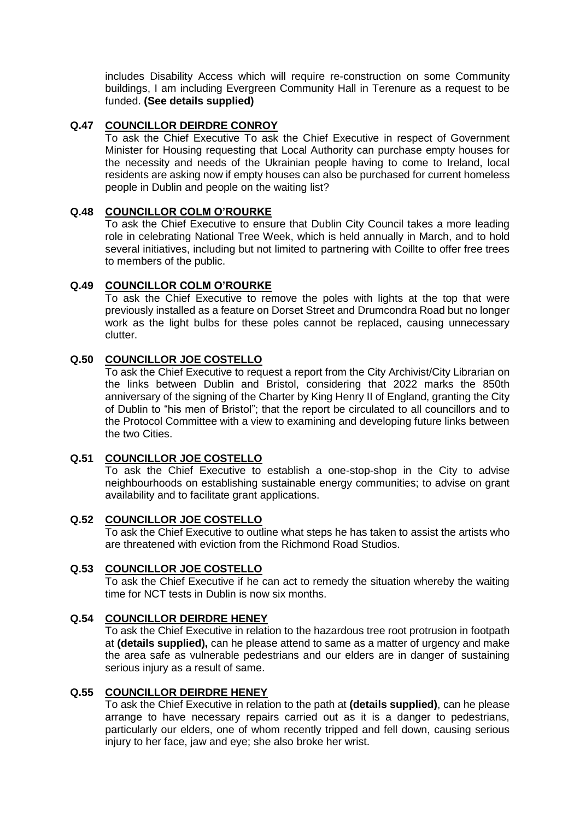includes Disability Access which will require re-construction on some Community buildings, I am including Evergreen Community Hall in Terenure as a request to be funded. **(See details supplied)**

## **Q.47 COUNCILLOR DEIRDRE CONROY**

To ask the Chief Executive To ask the Chief Executive in respect of Government Minister for Housing requesting that Local Authority can purchase empty houses for the necessity and needs of the Ukrainian people having to come to Ireland, local residents are asking now if empty houses can also be purchased for current homeless people in Dublin and people on the waiting list?

### **Q.48 COUNCILLOR COLM O'ROURKE**

To ask the Chief Executive to ensure that Dublin City Council takes a more leading role in celebrating National Tree Week, which is held annually in March, and to hold several initiatives, including but not limited to partnering with Coillte to offer free trees to members of the public.

### **Q.49 COUNCILLOR COLM O'ROURKE**

To ask the Chief Executive to remove the poles with lights at the top that were previously installed as a feature on Dorset Street and Drumcondra Road but no longer work as the light bulbs for these poles cannot be replaced, causing unnecessary clutter.

## **Q.50 COUNCILLOR JOE COSTELLO**

To ask the Chief Executive to request a report from the City Archivist/City Librarian on the links between Dublin and Bristol, considering that 2022 marks the 850th anniversary of the signing of the Charter by King Henry II of England, granting the City of Dublin to "his men of Bristol"; that the report be circulated to all councillors and to the Protocol Committee with a view to examining and developing future links between the two Cities.

## **Q.51 COUNCILLOR JOE COSTELLO**

To ask the Chief Executive to establish a one-stop-shop in the City to advise neighbourhoods on establishing sustainable energy communities; to advise on grant availability and to facilitate grant applications.

#### **Q.52 COUNCILLOR JOE COSTELLO**

To ask the Chief Executive to outline what steps he has taken to assist the artists who are threatened with eviction from the Richmond Road Studios.

#### **Q.53 COUNCILLOR JOE COSTELLO**

To ask the Chief Executive if he can act to remedy the situation whereby the waiting time for NCT tests in Dublin is now six months.

#### **Q.54 COUNCILLOR DEIRDRE HENEY**

To ask the Chief Executive in relation to the hazardous tree root protrusion in footpath at **(details supplied),** can he please attend to same as a matter of urgency and make the area safe as vulnerable pedestrians and our elders are in danger of sustaining serious injury as a result of same.

### **Q.55 COUNCILLOR DEIRDRE HENEY**

To ask the Chief Executive in relation to the path at **(details supplied)**, can he please arrange to have necessary repairs carried out as it is a danger to pedestrians, particularly our elders, one of whom recently tripped and fell down, causing serious injury to her face, jaw and eye; she also broke her wrist.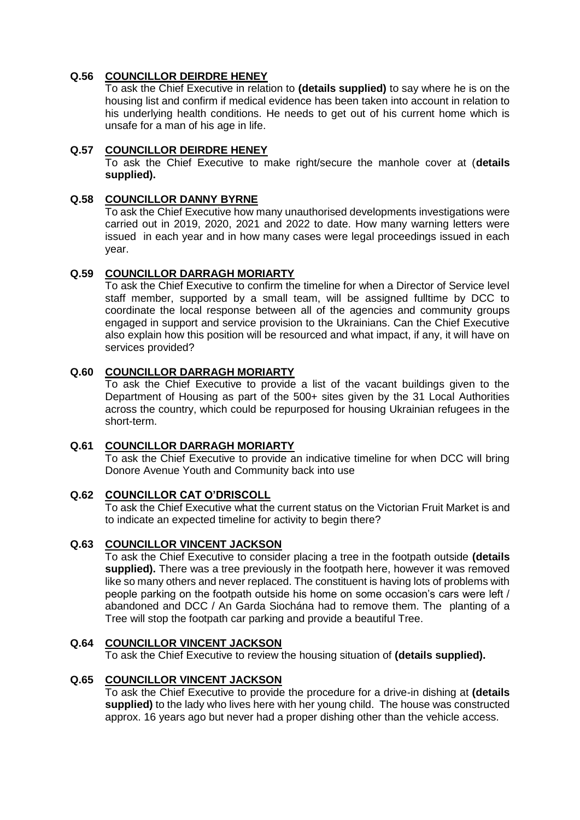# **Q.56 COUNCILLOR DEIRDRE HENEY**

To ask the Chief Executive in relation to **(details supplied)** to say where he is on the housing list and confirm if medical evidence has been taken into account in relation to his underlying health conditions. He needs to get out of his current home which is unsafe for a man of his age in life.

## **Q.57 COUNCILLOR DEIRDRE HENEY**

To ask the Chief Executive to make right/secure the manhole cover at (**details supplied).**

### **Q.58 COUNCILLOR DANNY BYRNE**

To ask the Chief Executive how many unauthorised developments investigations were carried out in 2019, 2020, 2021 and 2022 to date. How many warning letters were issued in each year and in how many cases were legal proceedings issued in each year.

## **Q.59 COUNCILLOR DARRAGH MORIARTY**

To ask the Chief Executive to confirm the timeline for when a Director of Service level staff member, supported by a small team, will be assigned fulltime by DCC to coordinate the local response between all of the agencies and community groups engaged in support and service provision to the Ukrainians. Can the Chief Executive also explain how this position will be resourced and what impact, if any, it will have on services provided?

### **Q.60 COUNCILLOR DARRAGH MORIARTY**

To ask the Chief Executive to provide a list of the vacant buildings given to the Department of Housing as part of the 500+ sites given by the 31 Local Authorities across the country, which could be repurposed for housing Ukrainian refugees in the short-term.

#### **Q.61 COUNCILLOR DARRAGH MORIARTY**

To ask the Chief Executive to provide an indicative timeline for when DCC will bring Donore Avenue Youth and Community back into use

## **Q.62 COUNCILLOR CAT O'DRISCOLL**

To ask the Chief Executive what the current status on the Victorian Fruit Market is and to indicate an expected timeline for activity to begin there?

#### **Q.63 COUNCILLOR VINCENT JACKSON**

To ask the Chief Executive to consider placing a tree in the footpath outside **(details supplied).** There was a tree previously in the footpath here, however it was removed like so many others and never replaced. The constituent is having lots of problems with people parking on the footpath outside his home on some occasion's cars were left / abandoned and DCC / An Garda Siochána had to remove them. The planting of a Tree will stop the footpath car parking and provide a beautiful Tree.

## **Q.64 COUNCILLOR VINCENT JACKSON**

To ask the Chief Executive to review the housing situation of **(details supplied).**

## **Q.65 COUNCILLOR VINCENT JACKSON**

To ask the Chief Executive to provide the procedure for a drive-in dishing at **(details supplied)** to the lady who lives here with her young child. The house was constructed approx. 16 years ago but never had a proper dishing other than the vehicle access.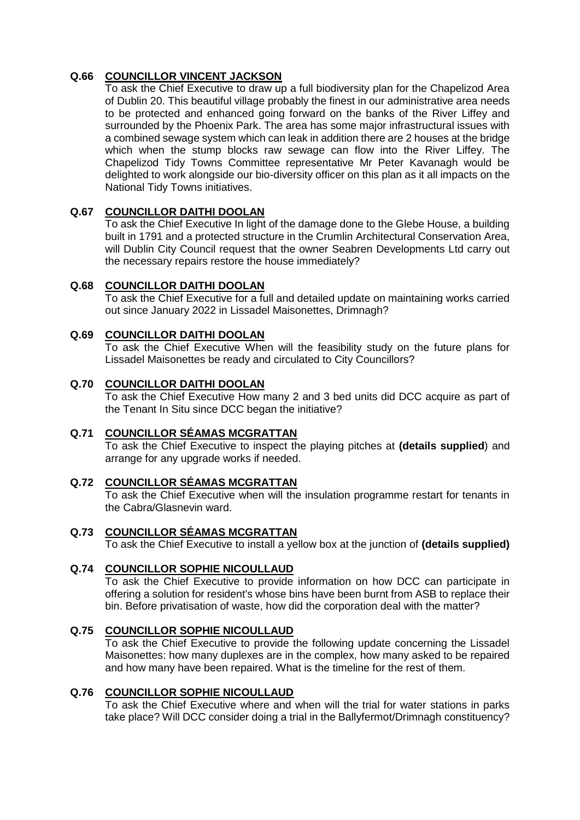# **Q.66 COUNCILLOR VINCENT JACKSON**

To ask the Chief Executive to draw up a full biodiversity plan for the Chapelizod Area of Dublin 20. This beautiful village probably the finest in our administrative area needs to be protected and enhanced going forward on the banks of the River Liffey and surrounded by the Phoenix Park. The area has some major infrastructural issues with a combined sewage system which can leak in addition there are 2 houses at the bridge which when the stump blocks raw sewage can flow into the River Liffey. The Chapelizod Tidy Towns Committee representative Mr Peter Kavanagh would be delighted to work alongside our bio-diversity officer on this plan as it all impacts on the National Tidy Towns initiatives.

## **Q.67 COUNCILLOR DAITHI DOOLAN**

To ask the Chief Executive In light of the damage done to the Glebe House, a building built in 1791 and a protected structure in the Crumlin Architectural Conservation Area, will Dublin City Council request that the owner Seabren Developments Ltd carry out the necessary repairs restore the house immediately?

## **Q.68 COUNCILLOR DAITHI DOOLAN**

To ask the Chief Executive for a full and detailed update on maintaining works carried out since January 2022 in Lissadel Maisonettes, Drimnagh?

## **Q.69 COUNCILLOR DAITHI DOOLAN**

To ask the Chief Executive When will the feasibility study on the future plans for Lissadel Maisonettes be ready and circulated to City Councillors?

## **Q.70 COUNCILLOR DAITHI DOOLAN**

To ask the Chief Executive How many 2 and 3 bed units did DCC acquire as part of the Tenant In Situ since DCC began the initiative?

## **Q.71 COUNCILLOR SÉAMAS MCGRATTAN**

To ask the Chief Executive to inspect the playing pitches at **(details supplied**) and arrange for any upgrade works if needed.

## **Q.72 COUNCILLOR SÉAMAS MCGRATTAN**

To ask the Chief Executive when will the insulation programme restart for tenants in the Cabra/Glasnevin ward.

#### **Q.73 COUNCILLOR SÉAMAS MCGRATTAN**

To ask the Chief Executive to install a yellow box at the junction of **(details supplied)**

## **Q.74 COUNCILLOR SOPHIE NICOULLAUD**

To ask the Chief Executive to provide information on how DCC can participate in offering a solution for resident's whose bins have been burnt from ASB to replace their bin. Before privatisation of waste, how did the corporation deal with the matter?

#### **Q.75 COUNCILLOR SOPHIE NICOULLAUD**

To ask the Chief Executive to provide the following update concerning the Lissadel Maisonettes: how many duplexes are in the complex, how many asked to be repaired and how many have been repaired. What is the timeline for the rest of them.

### **Q.76 COUNCILLOR SOPHIE NICOULLAUD**

To ask the Chief Executive where and when will the trial for water stations in parks take place? Will DCC consider doing a trial in the Ballyfermot/Drimnagh constituency?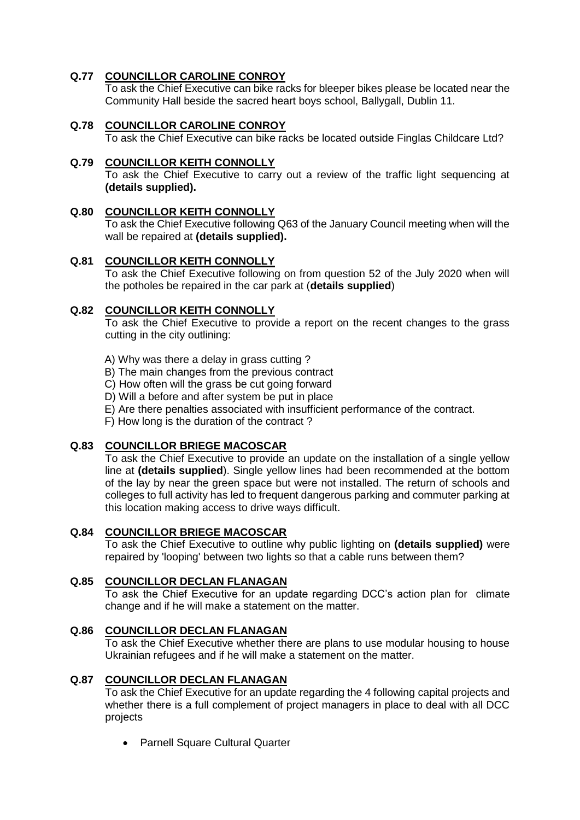# **Q.77 COUNCILLOR CAROLINE CONROY**

To ask the Chief Executive can bike racks for bleeper bikes please be located near the Community Hall beside the sacred heart boys school, Ballygall, Dublin 11.

# **Q.78 COUNCILLOR CAROLINE CONROY**

To ask the Chief Executive can bike racks be located outside Finglas Childcare Ltd?

## **Q.79 COUNCILLOR KEITH CONNOLLY**

To ask the Chief Executive to carry out a review of the traffic light sequencing at **(details supplied).**

## **Q.80 COUNCILLOR KEITH CONNOLLY**

To ask the Chief Executive following Q63 of the January Council meeting when will the wall be repaired at **(details supplied).**

## **Q.81 COUNCILLOR KEITH CONNOLLY**

To ask the Chief Executive following on from question 52 of the July 2020 when will the potholes be repaired in the car park at (**details supplied**)

## **Q.82 COUNCILLOR KEITH CONNOLLY**

To ask the Chief Executive to provide a report on the recent changes to the grass cutting in the city outlining:

A) Why was there a delay in grass cutting ?

- B) The main changes from the previous contract
- C) How often will the grass be cut going forward
- D) Will a before and after system be put in place
- E) Are there penalties associated with insufficient performance of the contract.
- F) How long is the duration of the contract ?

# **Q.83 COUNCILLOR BRIEGE MACOSCAR**

To ask the Chief Executive to provide an update on the installation of a single yellow line at **(details supplied**). Single yellow lines had been recommended at the bottom of the lay by near the green space but were not installed. The return of schools and colleges to full activity has led to frequent dangerous parking and commuter parking at this location making access to drive ways difficult.

# **Q.84 COUNCILLOR BRIEGE MACOSCAR**

To ask the Chief Executive to outline why public lighting on **(details supplied)** were repaired by 'looping' between two lights so that a cable runs between them?

## **Q.85 COUNCILLOR DECLAN FLANAGAN**

To ask the Chief Executive for an update regarding DCC's action plan for climate change and if he will make a statement on the matter.

## **Q.86 COUNCILLOR DECLAN FLANAGAN**

To ask the Chief Executive whether there are plans to use modular housing to house Ukrainian refugees and if he will make a statement on the matter.

## **Q.87 COUNCILLOR DECLAN FLANAGAN**

To ask the Chief Executive for an update regarding the 4 following capital projects and whether there is a full complement of project managers in place to deal with all DCC projects

• Parnell Square Cultural Quarter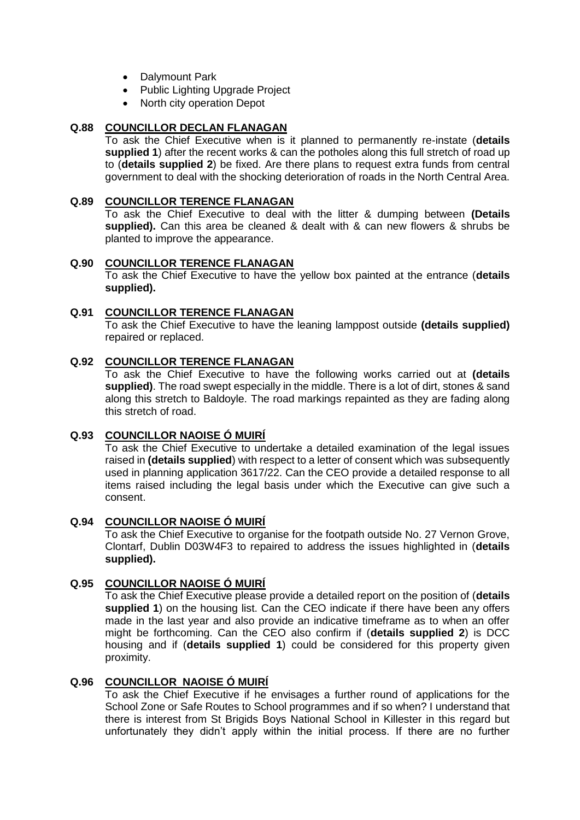- Dalymount Park
- Public Lighting Upgrade Project
- North city operation Depot

## **Q.88 COUNCILLOR DECLAN FLANAGAN**

To ask the Chief Executive when is it planned to permanently re-instate (**details supplied 1**) after the recent works & can the potholes along this full stretch of road up to (**details supplied 2**) be fixed. Are there plans to request extra funds from central government to deal with the shocking deterioration of roads in the North Central Area.

### **Q.89 COUNCILLOR TERENCE FLANAGAN**

To ask the Chief Executive to deal with the litter & dumping between **(Details supplied).** Can this area be cleaned & dealt with & can new flowers & shrubs be planted to improve the appearance.

## **Q.90 COUNCILLOR TERENCE FLANAGAN**

To ask the Chief Executive to have the yellow box painted at the entrance (**details supplied).**

## **Q.91 COUNCILLOR TERENCE FLANAGAN**

To ask the Chief Executive to have the leaning lamppost outside **(details supplied)** repaired or replaced.

## **Q.92 COUNCILLOR TERENCE FLANAGAN**

To ask the Chief Executive to have the following works carried out at **(details supplied)**. The road swept especially in the middle. There is a lot of dirt, stones & sand along this stretch to Baldoyle. The road markings repainted as they are fading along this stretch of road.

## **Q.93 COUNCILLOR NAOISE Ó MUIRÍ**

To ask the Chief Executive to undertake a detailed examination of the legal issues raised in **(details supplied**) with respect to a letter of consent which was subsequently used in planning application 3617/22. Can the CEO provide a detailed response to all items raised including the legal basis under which the Executive can give such a consent.

#### **Q.94 COUNCILLOR NAOISE Ó MUIRÍ**

To ask the Chief Executive to organise for the footpath outside No. 27 Vernon Grove, Clontarf, Dublin D03W4F3 to repaired to address the issues highlighted in (**details supplied).**

# **Q.95 COUNCILLOR NAOISE Ó MUIRÍ**

To ask the Chief Executive please provide a detailed report on the position of (**details supplied 1**) on the housing list. Can the CEO indicate if there have been any offers made in the last year and also provide an indicative timeframe as to when an offer might be forthcoming. Can the CEO also confirm if (**details supplied 2**) is DCC housing and if (**details supplied 1**) could be considered for this property given proximity.

## **Q.96 COUNCILLOR NAOISE Ó MUIRÍ**

To ask the Chief Executive if he envisages a further round of applications for the School Zone or Safe Routes to School programmes and if so when? I understand that there is interest from St Brigids Boys National School in Killester in this regard but unfortunately they didn't apply within the initial process. If there are no further